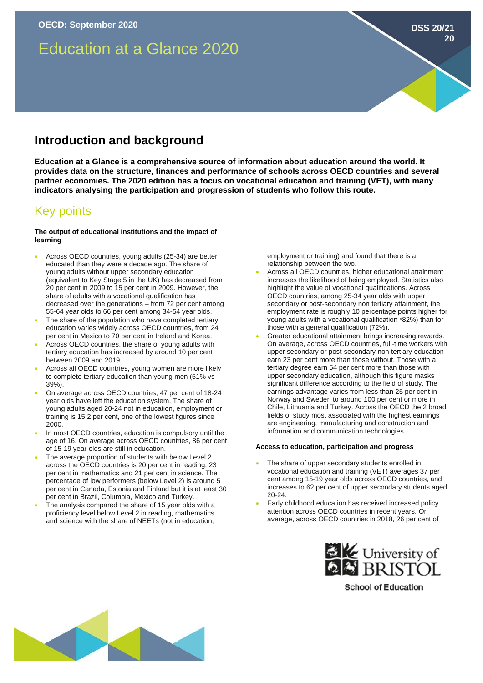# Education at a Glance 2020

## **Introduction and background**

**Education at a Glance is a comprehensive source of information about education around the world. It provides data on the structure, finances and performance of schools across OECD countries and several partner economies. The 2020 edition has a focus on vocational education and training (VET), with many indicators analysing the participation and progression of students who follow this route.** 

### Key points

#### **The output of educational institutions and the impact of learning**

- Across OECD countries, young adults (25-34) are better educated than they were a decade ago. The share of young adults without upper secondary education (equivalent to Key Stage 5 in the UK) has decreased from 20 per cent in 2009 to 15 per cent in 2009. However, the share of adults with a vocational qualification has decreased over the generations – from 72 per cent among 55-64 year olds to 66 per cent among 34-54 year olds.
- The share of the population who have completed tertiary education varies widely across OECD countries, from 24 per cent in Mexico to 70 per cent in Ireland and Korea.
- Across OECD countries, the share of young adults with tertiary education has increased by around 10 per cent between 2009 and 2019.
- Across all OECD countries, young women are more likely to complete tertiary education than young men (51% vs 39%).
- On average across OECD countries, 47 per cent of 18-24 year olds have left the education system. The share of young adults aged 20-24 not in education, employment or training is 15.2 per cent, one of the lowest figures since 2000.
- In most OECD countries, education is compulsory until the age of 16. On average across OECD countries, 86 per cent of 15-19 year olds are still in education.
- The average proportion of students with below Level 2 across the OECD countries is 20 per cent in reading, 23 per cent in mathematics and 21 per cent in science. The percentage of low performers (below Level 2) is around 5 per cent in Canada, Estonia and Finland but it is at least 30 per cent in Brazil, Columbia, Mexico and Turkey.
- The analysis compared the share of 15 year olds with a proficiency level below Level 2 in reading, mathematics and science with the share of NEETs (not in education,

employment or training) and found that there is a relationship between the two.

• Across all OECD countries, higher educational attainment increases the likelihood of being employed. Statistics also highlight the value of vocational qualifications. Across OECD countries, among 25-34 year olds with upper secondary or post-secondary non tertiary attainment, the employment rate is roughly 10 percentage points higher for young adults with a vocational qualification \*82%) than for those with a general qualification (72%).

**DSS 20/21**

**20**

• Greater educational attainment brings increasing rewards. On average, across OECD countries, full-time workers with upper secondary or post-secondary non tertiary education earn 23 per cent more than those without. Those with a tertiary degree earn 54 per cent more than those with upper secondary education, although this figure masks significant difference according to the field of study. The earnings advantage varies from less than 25 per cent in Norway and Sweden to around 100 per cent or more in Chile, Lithuania and Turkey. Across the OECD the 2 broad fields of study most associated with the highest earnings are engineering, manufacturing and construction and information and communication technologies.

#### **Access to education, participation and progress**

- The share of upper secondary students enrolled in vocational education and training (VET) averages 37 per cent among 15-19 year olds across OECD countries, and increases to 62 per cent of upper secondary students aged 20-24.
- Early childhood education has received increased policy attention across OECD countries in recent years. On average, across OECD countries in 2018, 26 per cent of



**School of Education**